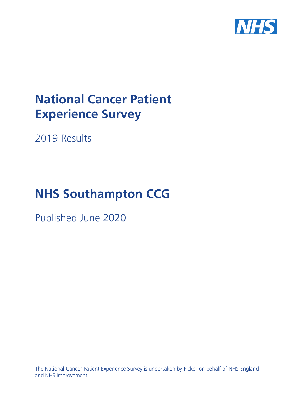

# **National Cancer Patient Experience Survey**

2019 Results

# **NHS Southampton CCG**

Published June 2020

The National Cancer Patient Experience Survey is undertaken by Picker on behalf of NHS England and NHS Improvement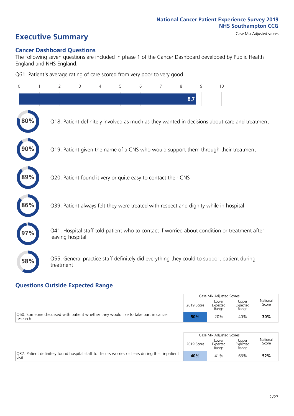# **Executive Summary** Case Mix Adjusted scores

#### **Cancer Dashboard Questions**

The following seven questions are included in phase 1 of the Cancer Dashboard developed by Public Health England and NHS England:

Q61. Patient's average rating of care scored from very poor to very good

| $\Omega$ | $\overline{2}$                                                | 3 | 4 | 5 | 6 | 7 | 8   | 9 | 10                                                                                            |
|----------|---------------------------------------------------------------|---|---|---|---|---|-----|---|-----------------------------------------------------------------------------------------------|
|          |                                                               |   |   |   |   |   | 8.7 |   |                                                                                               |
| 80%      |                                                               |   |   |   |   |   |     |   | Q18. Patient definitely involved as much as they wanted in decisions about care and treatment |
|          |                                                               |   |   |   |   |   |     |   | Q19. Patient given the name of a CNS who would support them through their treatment           |
| 89%      | Q20. Patient found it very or quite easy to contact their CNS |   |   |   |   |   |     |   |                                                                                               |
| 86%      |                                                               |   |   |   |   |   |     |   | Q39. Patient always felt they were treated with respect and dignity while in hospital         |
|          | leaving hospital                                              |   |   |   |   |   |     |   | Q41. Hospital staff told patient who to contact if worried about condition or treatment after |
| 58%      | treatment                                                     |   |   |   |   |   |     |   | Q55. General practice staff definitely did everything they could to support patient during    |

### **Questions Outside Expected Range**

|                                                                                                |            | Case Mix Adjusted Scores   |                            |                   |
|------------------------------------------------------------------------------------------------|------------|----------------------------|----------------------------|-------------------|
|                                                                                                | 2019 Score | Lower<br>Expected<br>Range | Upper<br>Expected<br>Range | National<br>Score |
| Q60. Someone discussed with patient whether they would like to take part in cancer<br>research | 50%        | 20%                        | 40%                        | 30%               |

|                                                                                                          |            | Case Mix Adjusted Scores   |                            |                   |
|----------------------------------------------------------------------------------------------------------|------------|----------------------------|----------------------------|-------------------|
|                                                                                                          | 2019 Score | Lower<br>Expected<br>Range | Upper<br>Expected<br>Range | National<br>Score |
| Q37. Patient definitely found hospital staff to discuss worries or fears during their inpatient<br>visit | 40%        | 41%                        | 63%                        | 52%               |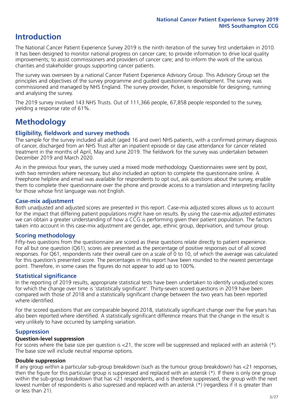## **Introduction**

The National Cancer Patient Experience Survey 2019 is the ninth iteration of the survey first undertaken in 2010. It has been designed to monitor national progress on cancer care; to provide information to drive local quality improvements; to assist commissioners and providers of cancer care; and to inform the work of the various charities and stakeholder groups supporting cancer patients.

The survey was overseen by a national Cancer Patient Experience Advisory Group. This Advisory Group set the principles and objectives of the survey programme and guided questionnaire development. The survey was commissioned and managed by NHS England. The survey provider, Picker, is responsible for designing, running and analysing the survey.

The 2019 survey involved 143 NHS Trusts. Out of 111,366 people, 67,858 people responded to the survey, yielding a response rate of 61%.

# **Methodology**

#### **Eligibility, eldwork and survey methods**

The sample for the survey included all adult (aged 16 and over) NHS patients, with a confirmed primary diagnosis of cancer, discharged from an NHS Trust after an inpatient episode or day case attendance for cancer related treatment in the months of April, May and June 2019. The fieldwork for the survey was undertaken between December 2019 and March 2020.

As in the previous four years, the survey used a mixed mode methodology. Questionnaires were sent by post, with two reminders where necessary, but also included an option to complete the questionnaire online. A Freephone helpline and email was available for respondents to opt out, ask questions about the survey, enable them to complete their questionnaire over the phone and provide access to a translation and interpreting facility for those whose first language was not English.

#### **Case-mix adjustment**

Both unadjusted and adjusted scores are presented in this report. Case-mix adjusted scores allows us to account for the impact that differing patient populations might have on results. By using the case-mix adjusted estimates we can obtain a greater understanding of how a CCG is performing given their patient population. The factors taken into account in this case-mix adjustment are gender, age, ethnic group, deprivation, and tumour group.

#### **Scoring methodology**

Fifty-two questions from the questionnaire are scored as these questions relate directly to patient experience. For all but one question (Q61), scores are presented as the percentage of positive responses out of all scored responses. For Q61, respondents rate their overall care on a scale of 0 to 10, of which the average was calculated for this question's presented score. The percentages in this report have been rounded to the nearest percentage point. Therefore, in some cases the figures do not appear to add up to 100%.

#### **Statistical significance**

In the reporting of 2019 results, appropriate statistical tests have been undertaken to identify unadjusted scores for which the change over time is 'statistically significant'. Thirty-seven scored questions in 2019 have been compared with those of 2018 and a statistically significant change between the two years has been reported where identified.

For the scored questions that are comparable beyond 2018, statistically significant change over the five years has also been reported where identified. A statistically significant difference means that the change in the result is very unlikely to have occurred by sampling variation.

#### **Suppression**

#### **Question-level suppression**

For scores where the base size per question is  $<$ 21, the score will be suppressed and replaced with an asterisk (\*). The base size will include neutral response options.

#### **Double suppression**

If any group within a particular sub-group breakdown (such as the tumour group breakdown) has <21 responses, then the figure for this particular group is suppressed and replaced with an asterisk (\*). If there is only one group within the sub-group breakdown that has <21 respondents, and is therefore suppressed, the group with the next lowest number of respondents is also supressed and replaced with an asterisk (\*) (regardless if it is greater than or less than 21).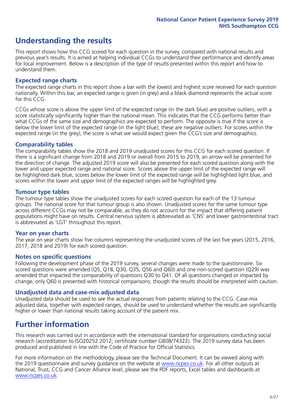# **Understanding the results**

This report shows how this CCG scored for each question in the survey, compared with national results and previous year's results. It is aimed at helping individual CCGs to understand their performance and identify areas for local improvement. Below is a description of the type of results presented within this report and how to understand them.

#### **Expected range charts**

The expected range charts in this report show a bar with the lowest and highest score received for each question nationally. Within this bar, an expected range is given (in grey) and a black diamond represents the actual score for this CCG.

CCGs whose score is above the upper limit of the expected range (in the dark blue) are positive outliers, with a score statistically significantly higher than the national mean. This indicates that the CCG performs better than what CCGs of the same size and demographics are expected to perform. The opposite is true if the score is below the lower limit of the expected range (in the light blue); these are negative outliers. For scores within the expected range (in the grey), the score is what we would expect given the CCG's size and demographics.

#### **Comparability tables**

The comparability tables show the 2018 and 2019 unadjusted scores for this CCG for each scored question. If there is a significant change from 2018 and 2019 or overall from 2015 to 2019, an arrow will be presented for the direction of change. The adjusted 2019 score will also be presented for each scored question along with the lower and upper expected range and national score. Scores above the upper limit of the expected range will be highlighted dark blue, scores below the lower limit of the expected range will be highlighted light blue, and scores within the lower and upper limit of the expected ranges will be highlighted grey.

#### **Tumour type tables**

The tumour type tables show the unadjusted scores for each scored question for each of the 13 tumour groups. The national score for that tumour group is also shown. Unadjusted scores for the same tumour type across different CCGs may not be comparable, as they do not account for the impact that differing patient populations might have on results. Central nervous system is abbreviated as 'CNS' and lower gastrointestinal tract is abbreviated as 'LGT' throughout this report.

#### **Year on year charts**

The year on year charts show five columns representing the unadjusted scores of the last five years (2015, 2016, 2017, 2018 and 2019) for each scored question.

#### **Notes on specific questions**

Following the development phase of the 2019 survey, several changes were made to the questionnaire. Six scored questions were amended (Q5, Q18, Q30, Q35, Q56 and Q60) and one non-scored question (Q29) was amended that impacted the comparability of questions Q30 to Q41. Of all questions changed or impacted by change, only Q60 is presented with historical comparisons; though the results should be interpreted with caution.

#### **Unadjusted data and case-mix adjusted data**

Unadjusted data should be used to see the actual responses from patients relating to the CCG. Case-mix adjusted data, together with expected ranges, should be used to understand whether the results are significantly higher or lower than national results taking account of the patient mix.

## **Further information**

This research was carried out in accordance with the international standard for organisations conducting social research (accreditation to ISO20252:2012; certificate number GB08/74322). The 2019 survey data has been produced and published in line with the Code of Practice for Official Statistics.

For more information on the methodology, please see the Technical Document. It can be viewed along with the 2019 questionnaire and survey quidance on the website at [www.ncpes.co.uk](https://www.ncpes.co.uk/supporting-documents). For all other outputs at National, Trust, CCG and Cancer Alliance level, please see the PDF reports, Excel tables and dashboards at [www.ncpes.co.uk.](https://www.ncpes.co.uk/current-results)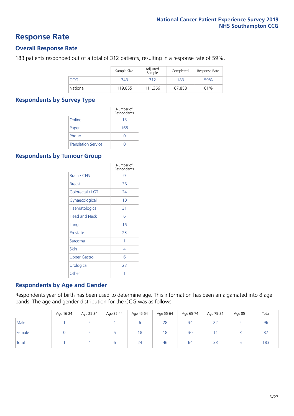### **Response Rate**

#### **Overall Response Rate**

183 patients responded out of a total of 312 patients, resulting in a response rate of 59%.

|          | Sample Size | Adjusted<br>Sample | Completed | Response Rate |
|----------|-------------|--------------------|-----------|---------------|
| CCG      | 343         | 312                | 183       | 59%           |
| National | 119,855     | 111.366            | 67,858    | 61%           |

#### **Respondents by Survey Type**

|                            | Number of<br>Respondents |
|----------------------------|--------------------------|
| Online                     | 15                       |
| Paper                      | 168                      |
| Phone                      |                          |
| <b>Translation Service</b> |                          |

#### **Respondents by Tumour Group**

|                      | Number of<br>Respondents |
|----------------------|--------------------------|
| <b>Brain / CNS</b>   | ∩                        |
| <b>Breast</b>        | 38                       |
| Colorectal / LGT     | 24                       |
| Gynaecological       | 10                       |
| Haematological       | 31                       |
| <b>Head and Neck</b> | 6                        |
| Lung                 | 16                       |
| Prostate             | 23                       |
| Sarcoma              | 1                        |
| Skin                 | 4                        |
| Upper Gastro         | 6                        |
| Urological           | 23                       |
| Other                | 1                        |

#### **Respondents by Age and Gender**

Respondents year of birth has been used to determine age. This information has been amalgamated into 8 age bands. The age and gender distribution for the CCG was as follows:

|        | Age 16-24 | Age 25-34 | Age 35-44 | Age 45-54 | Age 55-64 | Age 65-74 | Age 75-84 | Age 85+ | Total |
|--------|-----------|-----------|-----------|-----------|-----------|-----------|-----------|---------|-------|
| Male   |           |           |           |           | 28        | 34        | 22        |         | 96    |
| Female |           |           |           | 18        | 18        | 30        |           |         | 87    |
| Total  |           |           | b         | 24        | 46        | 64        | 33        |         | 183   |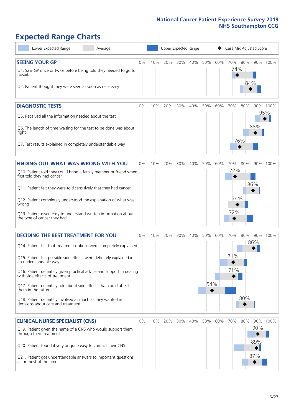# **Expected Range Charts**

| Lower Expected Range<br>Average                                                                                                                                                                                                                                                                                                                                                                                                                                                                                             |    |     | Upper Expected Range |     |     |            |     | Case Mix Adjusted Score  |                          |                 |
|-----------------------------------------------------------------------------------------------------------------------------------------------------------------------------------------------------------------------------------------------------------------------------------------------------------------------------------------------------------------------------------------------------------------------------------------------------------------------------------------------------------------------------|----|-----|----------------------|-----|-----|------------|-----|--------------------------|--------------------------|-----------------|
| <b>SEEING YOUR GP</b><br>Q1. Saw GP once or twice before being told they needed to go to<br>hospital<br>Q2. Patient thought they were seen as soon as necessary                                                                                                                                                                                                                                                                                                                                                             | 0% | 10% | 20%                  | 30% | 40% | 50%        | 60% | 70%<br>74%               | 80%<br>84%               | 90% 100%        |
| <b>DIAGNOSTIC TESTS</b><br>Q5. Received all the information needed about the test<br>Q6. The length of time waiting for the test to be done was about<br>right<br>Q7. Test results explained in completely understandable way                                                                                                                                                                                                                                                                                               | 0% | 10% | 20%                  | 30% | 40% | 50%        | 60% | 70%<br>76%               | 80%<br>88%               | 90% 100%<br>95% |
| <b>FINDING OUT WHAT WAS WRONG WITH YOU</b><br>Q10. Patient told they could bring a family member or friend when<br>first told they had cancer<br>Q11. Patient felt they were told sensitively that they had cancer<br>Q12. Patient completely understood the explanation of what was<br>wrong<br>Q13. Patient given easy to understand written information about<br>the type of cancer they had                                                                                                                             | 0% | 10% | 20%                  | 30% | 40% | 50%        | 60% | 70%<br>72%<br>74%<br>72% | 80%<br>86%               | 90% 100%        |
| <b>DECIDING THE BEST TREATMENT FOR YOU</b><br>Q14. Patient felt that treatment options were completely explained<br>Q15. Patient felt possible side effects were definitely explained in<br>an understandable way<br>Q16. Patient definitely given practical advice and support in dealing<br>with side effects of treatment<br>Q17. Patient definitely told about side effects that could affect<br>them in the future<br>Q18. Patient definitely involved as much as they wanted in<br>decisions about care and treatment | 0% | 10% | 20%                  | 30% | 40% | 50%<br>54% | 60% | 70%<br>71%<br>71%        | 80%<br>86%<br>80%        | 90% 100%        |
| <b>CLINICAL NURSE SPECIALIST (CNS)</b><br>Q19. Patient given the name of a CNS who would support them<br>through their treatment<br>Q20. Patient found it very or quite easy to contact their CNS<br>Q21. Patient got understandable answers to important questions<br>all or most of the time                                                                                                                                                                                                                              | 0% |     | 10% 20%              | 30% | 40% | 50%        | 60% | 70%                      | 80%<br>90%<br>89%<br>87% | 90% 100%        |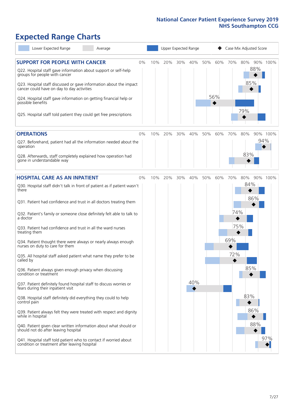# **Expected Range Charts**

| Lower Expected Range<br>Average                                                                                                                                                                                                                                                                                                                                                                                                 |       |     |     |     | Upper Expected Range |     |            |            | Case Mix Adjusted Score  |                 |
|---------------------------------------------------------------------------------------------------------------------------------------------------------------------------------------------------------------------------------------------------------------------------------------------------------------------------------------------------------------------------------------------------------------------------------|-------|-----|-----|-----|----------------------|-----|------------|------------|--------------------------|-----------------|
| <b>SUPPORT FOR PEOPLE WITH CANCER</b><br>Q22. Hospital staff gave information about support or self-help<br>groups for people with cancer<br>Q23. Hospital staff discussed or gave information about the impact<br>cancer could have on day to day activities<br>Q24. Hospital staff gave information on getting financial help or<br>possible benefits<br>Q25. Hospital staff told patient they could get free prescriptions   | $0\%$ | 10% | 20% | 30% | 40%                  | 50% | 60%<br>56% | 70%        | 80%<br>88%<br>85%<br>79% | 90% 100%        |
|                                                                                                                                                                                                                                                                                                                                                                                                                                 |       |     |     |     |                      |     |            |            |                          |                 |
| <b>OPERATIONS</b><br>Q27. Beforehand, patient had all the information needed about the<br>operation<br>Q28. Afterwards, staff completely explained how operation had<br>gone in understandable way                                                                                                                                                                                                                              | $0\%$ | 10% | 20% | 30% | 40%                  | 50% | 60%        | 70%        | 80%<br>83%               | 90% 100%<br>94% |
| <b>HOSPITAL CARE AS AN INPATIENT</b><br>Q30. Hospital staff didn't talk in front of patient as if patient wasn't<br>there                                                                                                                                                                                                                                                                                                       | 0%    | 10% | 20% | 30% | 40%                  | 50% | 60%        | 70%        | 80%<br>84%               | 90% 100%        |
| Q31. Patient had confidence and trust in all doctors treating them<br>Q32. Patient's family or someone close definitely felt able to talk to<br>a doctor<br>Q33. Patient had confidence and trust in all the ward nurses<br>treating them                                                                                                                                                                                       |       |     |     |     |                      |     |            | 74%<br>75% | 86%                      |                 |
| Q34. Patient thought there were always or nearly always enough<br>nurses on duty to care for them<br>Q35. All hospital staff asked patient what name they prefer to be<br>called by<br>Q36. Patient always given enough privacy when discussing                                                                                                                                                                                 |       |     |     |     |                      |     |            | 69%<br>72% | 85%                      |                 |
| condition or treatment<br>Q37. Patient definitely found hospital staff to discuss worries or<br>fears during their inpatient visit<br>Q38. Hospital staff definitely did everything they could to help<br>control pain<br>Q39. Patient always felt they were treated with respect and dignity<br>while in hospital<br>Q40. Patient given clear written information about what should or<br>should not do after leaving hospital |       |     |     |     | 40%                  |     |            |            | 83%<br>86%<br>88%        | 97%             |
| Q41. Hospital staff told patient who to contact if worried about<br>condition or treatment after leaving hospital                                                                                                                                                                                                                                                                                                               |       |     |     |     |                      |     |            |            |                          |                 |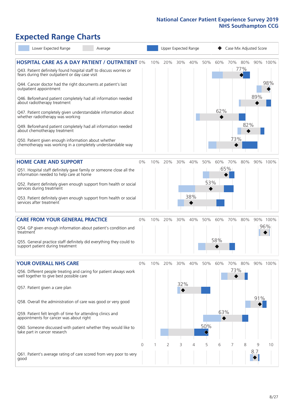# **Expected Range Charts**

| Lower Expected Range<br>Average                                                                                       |    |     |     | Upper Expected Range |     |     |          |     |     | Case Mix Adjusted Score |          |
|-----------------------------------------------------------------------------------------------------------------------|----|-----|-----|----------------------|-----|-----|----------|-----|-----|-------------------------|----------|
| <b>HOSPITAL CARE AS A DAY PATIENT / OUTPATIENT 0%</b>                                                                 |    | 10% | 20% | 30%                  | 40% | 50% | 60%      | 70% | 80% |                         | 90% 100% |
| Q43. Patient definitely found hospital staff to discuss worries or<br>fears during their outpatient or day case visit |    |     |     |                      |     |     |          |     | 77% |                         |          |
| Q44. Cancer doctor had the right documents at patient's last<br>outpatient appointment                                |    |     |     |                      |     |     |          |     |     |                         | 98%      |
| Q46. Beforehand patient completely had all information needed<br>about radiotherapy treatment                         |    |     |     |                      |     |     |          |     |     | 89%                     |          |
| Q47. Patient completely given understandable information about<br>whether radiotherapy was working                    |    |     |     |                      |     |     | 62%      |     |     |                         |          |
| Q49. Beforehand patient completely had all information needed<br>about chemotherapy treatment                         |    |     |     |                      |     |     |          |     | 82% |                         |          |
| Q50. Patient given enough information about whether<br>chemotherapy was working in a completely understandable way    |    |     |     |                      |     |     |          | 73% |     |                         |          |
| <b>HOME CARE AND SUPPORT</b>                                                                                          | 0% | 10% | 20% | 30%                  | 40% | 50% | 60%      | 70% | 80% |                         | 90% 100% |
| Q51. Hospital staff definitely gave family or someone close all the<br>information needed to help care at home        |    |     |     |                      |     |     |          | 65% |     |                         |          |
| Q52. Patient definitely given enough support from health or social<br>services during treatment                       |    |     |     |                      |     | 53% |          |     |     |                         |          |
| Q53. Patient definitely given enough support from health or social<br>services after treatment                        |    |     |     |                      | 38% |     |          |     |     |                         |          |
| <b>CARE FROM YOUR GENERAL PRACTICE</b>                                                                                | 0% | 10% | 20% | $30\%$               | 40% | 50% | 60%      | 70% | 80% |                         | 90% 100% |
| Q54. GP given enough information about patient's condition and<br>treatment                                           |    |     |     |                      |     |     |          |     |     |                         | 96%      |
| Q55. General practice staff definitely did everything they could to<br>support patient during treatment               |    |     |     |                      |     |     | 58%      |     |     |                         |          |
| <b>YOUR OVERALL NHS CARE</b>                                                                                          | 0% | 10% | 20% | 30%                  | 40% | 50% | 60%      | 70% | 80% |                         | 90% 100% |
| Q56. Different people treating and caring for patient always work<br>well together to give best possible care         |    |     |     |                      |     |     |          | 73% |     |                         |          |
| Q57. Patient given a care plan                                                                                        |    |     |     | 32%                  |     |     |          |     |     |                         |          |
| Q58. Overall the administration of care was good or very good                                                         |    |     |     |                      |     |     |          |     |     | 91%                     |          |
| Q59. Patient felt length of time for attending clinics and<br>appointments for cancer was about right                 |    |     |     |                      |     |     | 63%<br>◆ |     |     |                         |          |
| Q60. Someone discussed with patient whether they would like to<br>take part in cancer research                        |    |     |     |                      |     | 50% |          |     |     |                         |          |
|                                                                                                                       | 0  |     | 2   | 3                    | 4   | 5   | 6        |     | 8   | 9                       | 10       |
| Q61. Patient's average rating of care scored from very poor to very<br>good                                           |    |     |     |                      |     |     |          |     |     | 8.7                     |          |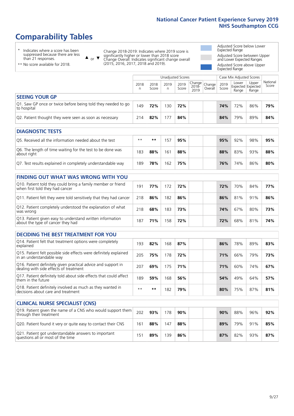# **Comparability Tables**

\* Indicates where a score has been suppressed because there are less than 21 responses.

\*\* No score available for 2018.

 $\triangle$  or  $\nabla$ 

Change 2018-2019: Indicates where 2019 score is significantly higher or lower than 2018 score Change Overall: Indicates significant change overall (2015, 2016, 2017, 2018 and 2019).

Adjusted Score below Lower Expected Range Adjusted Score between Upper and Lower Expected Ranges Adjusted Score above Upper Expected Range

|                                                                             |           |               | Unadjusted Scores |               |                         |                   |               | Case Mix Adjusted Scores                   |                |                   |
|-----------------------------------------------------------------------------|-----------|---------------|-------------------|---------------|-------------------------|-------------------|---------------|--------------------------------------------|----------------|-------------------|
|                                                                             | 2018<br>n | 2018<br>Score | 2019<br>n         | 2019<br>Score | Change<br>2018-<br>2019 | Change<br>Overall | 2019<br>Score | Lower<br><b>Expected Expected</b><br>Range | Upper<br>Range | National<br>Score |
| <b>SEEING YOUR GP</b>                                                       |           |               |                   |               |                         |                   |               |                                            |                |                   |
| Q1. Saw GP once or twice before being told they needed to go<br>to hospital | 149       | 72%           | 130               | 72%           |                         |                   | 74%           | 72%                                        | 86%            | 79%               |
| Q2. Patient thought they were seen as soon as necessary                     | 214       | 82%           | 177               | 84%           |                         |                   | 84%           | 79%                                        | 89%            | 84%               |
| <b>DIAGNOSTIC TESTS</b>                                                     |           |               |                   |               |                         |                   |               |                                            |                |                   |

| O5. Received all the information needed about the test                    | $***$ | **  | 51  | 95% |  | 95% | 92% | 98% | 95% |
|---------------------------------------------------------------------------|-------|-----|-----|-----|--|-----|-----|-----|-----|
| Q6. The length of time waiting for the test to be done was<br>about right | 183   | 88% | 61ء | 88% |  | 88% | 83% | 93% | 88% |
| Q7. Test results explained in completely understandable way               | 189   | 78% | 62  | 75% |  | 76% | 74% | 86% | 80% |

| <b>FINDING OUT WHAT WAS WRONG WITH YOU</b>                                                      |     |     |     |     |     |     |     |     |
|-------------------------------------------------------------------------------------------------|-----|-----|-----|-----|-----|-----|-----|-----|
| Q10. Patient told they could bring a family member or friend<br>when first told they had cancer | 191 | 77% | 172 | 72% | 72% | 70% | 84% | 77% |
| Q11. Patient felt they were told sensitively that they had cancer                               | 218 | 86% | 182 | 86% | 86% | 81% | 91% | 86% |
| Q12. Patient completely understood the explanation of what<br>was wrong                         | 218 | 68% | 183 | 73% | 74% | 67% | 80% | 73% |
| Q13. Patient given easy to understand written information<br>about the type of cancer they had  | 187 | 71% | 158 | 72% | 72% | 68% | 81% | 74% |

| <b>DECIDING THE BEST TREATMENT FOR YOU</b>                                                              |      |      |     |     |  |     |     |     |     |
|---------------------------------------------------------------------------------------------------------|------|------|-----|-----|--|-----|-----|-----|-----|
| Q14. Patient felt that treatment options were completely<br>explained                                   | 193  | 82%  | 168 | 87% |  | 86% | 78% | 89% | 83% |
| Q15. Patient felt possible side effects were definitely explained<br>in an understandable way           | 205  | 75%  | 178 | 72% |  | 71% | 66% | 79% | 73% |
| Q16. Patient definitely given practical advice and support in<br>dealing with side effects of treatment | 207  | 69%  | 175 | 71% |  | 71% | 60% | 74% | 67% |
| Q17. Patient definitely told about side effects that could affect<br>them in the future                 | 189  | 59%  | 168 | 56% |  | 54% | 49% | 64% | 57% |
| Q18. Patient definitely involved as much as they wanted in<br>decisions about care and treatment        | $**$ | $**$ | 182 | 79% |  | 80% | 75% | 87% | 81% |

| <b>CLINICAL NURSE SPECIALIST (CNS)</b>                                                    |                 |     |     |     |  |     |     |     |     |
|-------------------------------------------------------------------------------------------|-----------------|-----|-----|-----|--|-----|-----|-----|-----|
| Q19. Patient given the name of a CNS who would support them<br>through their treatment    | 202             | 93% | 178 | 90% |  | 90% | 88% | 96% | 92% |
| Q20. Patient found it very or quite easy to contact their CNS                             | 161             | 88% | 147 | 88% |  | 89% | 79% | 91% | 85% |
| Q21. Patient got understandable answers to important<br>questions all or most of the time | 15 <sup>′</sup> | 89% | 139 | 86% |  | 87% | 82% | 93% | 87% |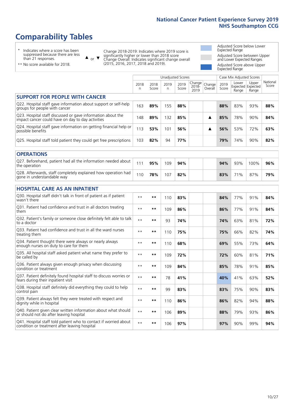# **Comparability Tables**

\* Indicates where a score has been suppressed because there are less than 21 responses.

\*\* No score available for 2018.

 $\triangle$  or  $\nabla$ 

Change 2018-2019: Indicates where 2019 score is significantly higher or lower than 2018 score Change Overall: Indicates significant change overall (2015, 2016, 2017, 2018 and 2019).

Adjusted Score below Lower Expected Range Adjusted Score between Upper and Lower Expected Ranges Adjusted Score above Upper Expected Range

|                                                                                                                   |              |               |            | <b>Unadjusted Scores</b> |                            |                   |               | Case Mix Adjusted Scores            |                |                   |
|-------------------------------------------------------------------------------------------------------------------|--------------|---------------|------------|--------------------------|----------------------------|-------------------|---------------|-------------------------------------|----------------|-------------------|
|                                                                                                                   | 2018<br>n    | 2018<br>Score | 2019<br>n. | 2019<br>Score            | Change<br>$2018 -$<br>2019 | Change<br>Overall | 2019<br>Score | Lower<br>Expected Expected<br>Range | Upper<br>Range | National<br>Score |
| <b>SUPPORT FOR PEOPLE WITH CANCER</b>                                                                             |              |               |            |                          |                            |                   |               |                                     |                |                   |
| Q22. Hospital staff gave information about support or self-help<br>groups for people with cancer                  | 163          | 89%           | 155        | 88%                      |                            |                   | 88%           | 83%                                 | 93%            | 88%               |
| Q23. Hospital staff discussed or gave information about the<br>impact cancer could have on day to day activities  | 148          | 89%           | 132        | 85%                      |                            | ▲                 | 85%           | 78%                                 | 90%            | 84%               |
| Q24. Hospital staff gave information on getting financial help or<br>possible benefits                            | 113          | 53%           | 101        | 56%                      |                            | ▲                 | 56%           | 53%                                 | 72%            | 63%               |
| Q25. Hospital staff told patient they could get free prescriptions                                                | 103          | 82%           | 94         | 77%                      |                            |                   | 79%           | 74%                                 | 90%            | 82%               |
| <b>OPERATIONS</b>                                                                                                 |              |               |            |                          |                            |                   |               |                                     |                |                   |
| Q27. Beforehand, patient had all the information needed about<br>the operation                                    | 111          | 95%           | 109        | 94%                      |                            |                   | 94%           | 93%                                 | 100%           | 96%               |
| Q28. Afterwards, staff completely explained how operation had<br>gone in understandable way                       | 110          | 78%           | 107        | 82%                      |                            |                   | 83%           | 71%                                 | 87%            | 79%               |
| <b>HOSPITAL CARE AS AN INPATIENT</b>                                                                              |              |               |            |                          |                            |                   |               |                                     |                |                   |
| Q30. Hospital staff didn't talk in front of patient as if patient<br>wasn't there                                 | $**$         | **            | 110        | 83%                      |                            |                   | 84%           | 77%                                 | 91%            | 84%               |
| Q31. Patient had confidence and trust in all doctors treating<br>them                                             | $* *$        | $***$         | 109        | 86%                      |                            |                   | 86%           | 77%                                 | 91%            | 84%               |
| Q32. Patient's family or someone close definitely felt able to talk<br>to a doctor                                | $* *$        | **            | 93         | 74%                      |                            |                   | 74%           | 63%                                 | 81%            | 72%               |
| O33. Patient had confidence and trust in all the ward nurses<br>treating them                                     | $**$         | **            | 110        | 75%                      |                            |                   | 75%           | 66%                                 | 82%            | 74%               |
| Q34. Patient thought there were always or nearly always<br>enough nurses on duty to care for them                 | $* *$        | **            | 110        | 68%                      |                            |                   | 69%           | 55%                                 | 73%            | 64%               |
| Q35. All hospital staff asked patient what name they prefer to<br>be called by                                    | $* *$        | **            | 109        | 72%                      |                            |                   | 72%           | 60%                                 | 81%            | 71%               |
| Q36. Patient always given enough privacy when discussing<br>condition or treatment                                | $\star\star$ | **            | 109        | 84%                      |                            |                   | 85%           | 78%                                 | 91%            | 85%               |
| Q37. Patient definitely found hospital staff to discuss worries or<br>fears during their inpatient visit          | $* *$        | **            | 78         | 41%                      |                            |                   | 40%           | 41%                                 | 63%            | 52%               |
| Q38. Hospital staff definitely did everything they could to help<br>control pain                                  | $\star\star$ | $***$         | 99         | 83%                      |                            |                   | 83%           | 75%                                 | 90%            | 83%               |
| Q39. Patient always felt they were treated with respect and<br>dignity while in hospital                          | $**$         | **            | 110        | 86%                      |                            |                   | 86%           | 82%                                 | 94%            | 88%               |
| Q40. Patient given clear written information about what should<br>or should not do after leaving hospital         | $**$         | **            | 106        | 89%                      |                            |                   | 88%           | 79%                                 | 93%            | 86%               |
| Q41. Hospital staff told patient who to contact if worried about<br>condition or treatment after leaving hospital | $**$         | **            | 106        | 97%                      |                            |                   | 97%           | 90%                                 | 99%            | 94%               |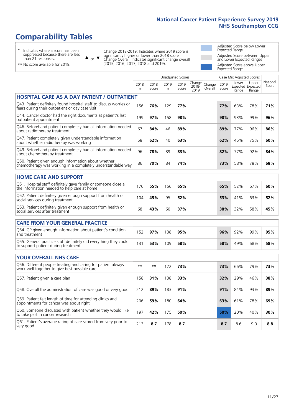# **Comparability Tables**

\* Indicates where a score has been suppressed because there are less than 21 responses.

\*\* No score available for 2018.

 $\triangle$  or  $\nabla$ 

Change 2018-2019: Indicates where 2019 score is significantly higher or lower than 2018 score Change Overall: Indicates significant change overall (2015, 2016, 2017, 2018 and 2019).

Adjusted Score below Lower Expected Range Adjusted Score between Upper and Lower Expected Ranges Adjusted Score above Upper Expected Range

|                                                                                                                       |           |               | Unadjusted Scores |               |                         |                   | Case Mix Adjusted Scores |                                     |                |                   |
|-----------------------------------------------------------------------------------------------------------------------|-----------|---------------|-------------------|---------------|-------------------------|-------------------|--------------------------|-------------------------------------|----------------|-------------------|
|                                                                                                                       | 2018<br>n | 2018<br>Score | 2019<br>n         | 2019<br>Score | Change<br>2018-<br>2019 | Change<br>Overall | 2019<br>Score            | Lower<br>Expected Expected<br>Range | Upper<br>Range | National<br>Score |
| <b>HOSPITAL CARE AS A DAY PATIENT / OUTPATIENT</b>                                                                    |           |               |                   |               |                         |                   |                          |                                     |                |                   |
| Q43. Patient definitely found hospital staff to discuss worries or<br>fears during their outpatient or day case visit | 156       | 76%           | 129               | 77%           |                         |                   | 77%                      | 63%                                 | 78%            | 71%               |
| Q44. Cancer doctor had the right documents at patient's last<br>outpatient appointment                                | 199       | 97%           | 158               | 98%           |                         |                   | 98%                      | 93%                                 | 99%            | 96%               |
| Q46. Beforehand patient completely had all information needed<br>about radiotherapy treatment                         | 67        | 84%           | 46                | 89%           |                         |                   | 89%                      | 77%                                 | 96%            | 86%               |
| Q47. Patient completely given understandable information<br>about whether radiotherapy was working                    | 58        | 62%           | 40                | 63%           |                         |                   | 62%                      | 45%                                 | 75%            | 60%               |
| Q49. Beforehand patient completely had all information needed<br>about chemotherapy treatment                         | 96        | 78%           | 89                | 83%           |                         |                   | 82%                      | 77%                                 | 92%            | 84%               |
| Q50. Patient given enough information about whether<br>chemotherapy was working in a completely understandable way    | 86        | 70%           | 84                | 74%           |                         |                   | 73%                      | 58%                                 | 78%            | 68%               |
| <b>HOME CARE AND SUPPORT</b>                                                                                          |           |               |                   |               |                         |                   |                          |                                     |                |                   |
| Q51. Hospital staff definitely gave family or someone close all<br>the information needed to help care at home        | 170       | 55%           | 156               | 65%           |                         |                   | 65%                      | 52%                                 | 67%            | 60%               |
| Q52. Patient definitely given enough support from health or<br>social services during treatment                       | 104       | 45%           | 95                | 52%           |                         |                   | 53%                      | 41%                                 | 63%            | 52%               |
| Q53. Patient definitely given enough support from health or<br>social services after treatment                        | 68        | 43%           | 60                | 37%           |                         |                   | 38%                      | 32%                                 | 58%            | 45%               |
| CARE FROM YOUR GENERAL PRACTICE                                                                                       |           |               |                   |               |                         |                   |                          |                                     |                |                   |
| Q54. GP given enough information about patient's condition<br>and treatment                                           | 152       | 97%           | 138               | 95%           |                         |                   | 96%                      | 92%                                 | 99%            | 95%               |
| Q55. General practice staff definitely did everything they could<br>to support patient during treatment               | 131       | 53%           | 109               | 58%           |                         |                   | 58%                      | 49%                                 | 68%            | 58%               |
|                                                                                                                       |           |               |                   |               |                         |                   |                          |                                     |                |                   |
| <b>YOUR OVERALL NHS CARE</b>                                                                                          |           |               |                   |               |                         |                   |                          |                                     |                |                   |
| Q56. Different people treating and caring for patient always<br>work well together to give best possible care         | $* *$     | $***$         | 172               | 73%           |                         |                   | 73%                      | 66%                                 | 79%            | 73%               |
| Q57. Patient given a care plan                                                                                        | 158       | 31%           | 138               | 33%           |                         |                   | 32%                      | 29%                                 | 46%            | 38%               |
| Q58. Overall the administration of care was good or very good                                                         | 212       | 89%           | 183               | 91%           |                         |                   | 91%                      | 84%                                 | 93%            | 89%               |
| Q59. Patient felt length of time for attending clinics and<br>appointments for cancer was about right                 | 206       | 59%           | 180               | 64%           |                         |                   | 63%                      | 61%                                 | 78%            | 69%               |
| Q60. Someone discussed with patient whether they would like<br>to take part in cancer research                        | 197       | 42%           | 175               | 50%           |                         |                   | 50%                      | 20%                                 | 40%            | 30%               |
| Q61. Patient's average rating of care scored from very poor to<br>very good                                           | 213       | 8.7           | 178               | 8.7           |                         |                   | 8.7                      | 8.6                                 | 9.0            | 8.8               |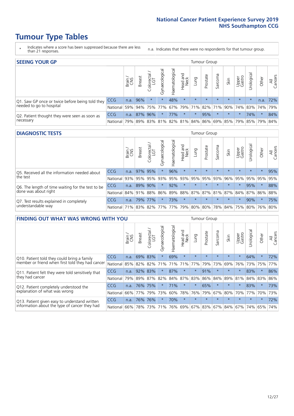# **Tumour Type Tables**

- \* Indicates where a score has been suppressed because there are less than 21 responses.
- n.a. Indicates that there were no respondents for that tumour group.

| <b>SEEING YOUR GP</b>                           |            |              |               |            |                    |                |                  |         | Tumour Group |         |         |                 |                                                           |         |                |
|-------------------------------------------------|------------|--------------|---------------|------------|--------------------|----------------|------------------|---------|--------------|---------|---------|-----------------|-----------------------------------------------------------|---------|----------------|
|                                                 |            | Brain<br>CNS | <b>Breast</b> | Colorectal | ᠊ᢛ<br>Gynaecologic | Haematological | Head and<br>Neck | Lung    | Prostate     | Sarcoma | Skin    | Upper<br>Gastro | $\sigma$<br>Irologica                                     | Other   | All<br>Cancers |
| Q1. Saw GP once or twice before being told they | CCG        | n.a.         | 96%           | $\star$    | $\star$            | 48%            | $\star$          | $\star$ | $\star$      | $\star$ | $\star$ | $\star$         | $\star$                                                   | n.a.    | 72%            |
| needed to go to hospital                        | National   | 59%          |               |            | 94% 75% 77%        |                |                  |         |              |         |         |                 | 67%   79%   71%   82%   71%   90%   74%   83%   74%   79% |         |                |
| Q2. Patient thought they were seen as soon as   | <b>CCG</b> | n.a.         | 87% 96%       |            | $\star$            | 77%            | $\star$          | $\star$ | 95%          | $\star$ | $\star$ | $\star$         | 74%                                                       | $\star$ | 84%            |
| necessary                                       | National   | 79%          |               |            |                    |                |                  |         |              |         |         |                 | 89% 83% 81% 82% 81% 84% 86% 69% 85% 79% 85% 79%           |         | 84%            |

#### **DIAGNOSTIC TESTS** Tumour Group

|                                                   |                                          | Brain<br>CNS | <b>Breast</b> | Colorectal<br>LGT | ᠊ᢛ<br>Gynaecologic | Haematological | Head and<br>Neck | Lung        | Prostate | Sarcoma | Skin    | Upper<br>Gastro | rological                                   | Other   | All<br>Cancers |
|---------------------------------------------------|------------------------------------------|--------------|---------------|-------------------|--------------------|----------------|------------------|-------------|----------|---------|---------|-----------------|---------------------------------------------|---------|----------------|
| Q5. Received all the information needed about     | <b>CCG</b>                               | n.a.         |               | 97% 95%           | $\star$            | 96%            | $\star$          | $\star$     | $\star$  | $\star$ |         | $\star$         | $\star$                                     | $\star$ | 95%            |
| the test                                          | National                                 | 93%          |               | 95% 95%           |                    | 93% 95%        |                  | 93% 95% 95% |          | 93%     | 96%     |                 | 95% 95% 95%                                 |         | 95%            |
| Q6. The length of time waiting for the test to be | <b>CCG</b>                               | n.a.         |               | 89% 90%           | $\star$            | 92%            | $\star$          | $\star$     | $\star$  | $\star$ | $\star$ | $\star$         | 95%                                         | $\star$ | 88%            |
| done was about right                              | <b>National</b>                          |              | 84% 91% 88%   |                   |                    |                |                  |             |          |         |         |                 | 86% 89% 88% 87% 87% 81% 87% 84% 87% 86% 88% |         |                |
| Q7. Test results explained in completely          | <b>CCG</b>                               | n.a.         |               | 79% 77%           |                    | 73%            | $\star$          | $\star$     | $\star$  | $\star$ | $\star$ | $\star$         | 90%                                         | $\star$ | 75%            |
| understandable way                                | National 71% 83% 82% 77% 77% 79% 80% 80% |              |               |                   |                    |                |                  |             |          |         |         |                 | 78% 84% 75% 80% 76% 80%                     |         |                |

| <b>FINDING OUT WHAT WAS WRONG WITH YOU</b>        |            |        |               |                        |                |                |                        |                     | Tumour Group |         |         |                 |            |         |                |
|---------------------------------------------------|------------|--------|---------------|------------------------|----------------|----------------|------------------------|---------------------|--------------|---------|---------|-----------------|------------|---------|----------------|
|                                                   |            | Brain  | <b>Breast</b> | olorectal.<br>LGT<br>Û | Gynaecological | Haematological | ad and<br>Neck<br>Head | Lung                | Prostate     | Sarcoma | Skin    | Upper<br>Gastro | Irological | Other   | All<br>Cancers |
| Q10. Patient told they could bring a family       | CCG        | n.a.   | 69%           | 83%                    |                | 69%            | $\star$                | $\star$             | $\star$      | $\star$ | $\star$ | $\star$         | 64%        | $\ast$  | 72%            |
| member or friend when first told they had cancer  | National   | 85%    | 82%           | 82%                    | 71%            | 71%            | 71%                    | 77%                 | 79%          | 73%     | 69%     | 76%             | 73%        | 75%     | 77%            |
| Q11. Patient felt they were told sensitively that | CCG        | n.a.   | 92%           | 83%                    |                | 87%            | $^\star$               | $\star$             | 91%          | $\star$ | $\star$ | $\star$         | 83%        | $\ast$  | 86%            |
| they had cancer                                   | National   | 79%    | 89% 87%       |                        | 82%            |                | 84% 87%                | 83%                 | 86%          | 84%     | 89%     | 81%             | 84% 83%    |         | 86%            |
| Q12. Patient completely understood the            | CCG.       | n.a.   | 76%           | 75%                    |                | 71%            | $^\star$               | $\star$             | 65%          | $\star$ | $\star$ |                 | 83%        | $\ast$  | 73%            |
| explanation of what was wrong                     | National   | 66%    | 77%           | 79%                    | 73%            | 60%            | 78%                    | 76%                 | 79%          | 67%     | 80%     | 70%             | 77%        | 70%     | 73%            |
| Q13. Patient given easy to understand written     | <b>CCG</b> | n.a.   | 76%           | 76%                    |                | 70%            | $\star$                | $\star$             | $\star$      | $\star$ | $\star$ | $\star$         | $\star$    | $\star$ | 72%            |
| information about the type of cancer they had     | National   | $66\%$ | 78%           | 73%                    | 71%            | 76%            |                        | 69% 67% 83% 67% 84% |              |         |         | 67%             | 74%        | 65%     | 74%            |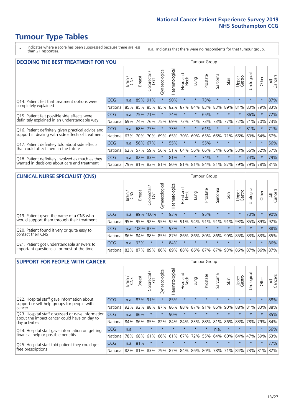# **Tumour Type Tables**

\* Indicates where a score has been suppressed because there are less than 21 responses.

n.a. Indicates that there were no respondents for that tumour group.

| <b>DECIDING THE BEST TREATMENT FOR YOU</b>         |            |       |               |                             |                |                |                         |         | <b>Tumour Group</b> |                         |         |                 |            |         |                |
|----------------------------------------------------|------------|-------|---------------|-----------------------------|----------------|----------------|-------------------------|---------|---------------------|-------------------------|---------|-----------------|------------|---------|----------------|
|                                                    |            | Brain | <b>Breast</b> | olorectal.<br>LGT<br>$\cup$ | Gynaecological | Haematological | ead and<br>Neck<br>Head | Lung    | Prostate            | Sarcoma                 | Skin    | Upper<br>Gastro | Jrological | Other   | All<br>Cancers |
| Q14. Patient felt that treatment options were      | CCG        | n.a.  | 89%           | 91%                         | $\star$        | 90%            | $\star$                 | $\star$ | 73%                 | $\star$                 | $\star$ | $\star$         | $\star$    | $\star$ | 87%            |
| completely explained                               | National   | 85%   |               | 85% 85%                     | 85%            | 82%            | 87%                     | 84%     | 83%                 | 83%                     | 89%     | 81%             | 83%        | 79%     | 83%            |
| Q15. Patient felt possible side effects were       | <b>CCG</b> | n.a.  | 75%           | 71%                         | $\star$        | 74%            | $\ast$                  | $\star$ | 65%                 | $\star$                 |         | $\star$         | 86%        | $\star$ | 72%            |
| definitely explained in an understandable way      | National   | 69%   | 74%           | 76%                         | 75%            | 69%            | 73%                     | 74%     | 73%                 | 73%                     | 77%     | 72%             | 71%        | 70%     | 73%            |
| Q16. Patient definitely given practical advice and | CCG        | n.a.  | 68%           | 77%                         |                | 73%            | $\star$                 | $\star$ | 61%                 | $\star$                 |         | $\star$         | 81%        | $\star$ | 71%            |
| support in dealing with side effects of treatment  | National   | 63%   | 70%           | 70%                         | 69%            | 65%            | 70%                     | 69%     | 65%                 | 66%                     | 71%     | 66%             | 63%        | 64%     | 67%            |
| Q17. Patient definitely told about side effects    | CCG        | n.a.  | 56%           | 67%                         | $\star$        | 55%            | $\star$                 | $\star$ | 55%                 | $\star$                 | $\star$ | $\star$         | $\star$    | $\star$ | 56%            |
| that could affect them in the future               | National   | 62%   | 57%           | 59%                         | 56%            | 51%            | 64%                     | 56%     | 66%                 | 54%                     | 66%     | 53%             | 56%        | 52%     | 57%            |
| Q18. Patient definitely involved as much as they   | CCG        | n.a.  |               | 82% 83%                     | $\star$        | 81%            | $\star$                 | $\star$ | 74%                 | $\star$                 | $\star$ | $\star$         | 74%        | $\star$ | 79%            |
| wanted in decisions about care and treatment       | National   | 79%   |               |                             | 81% 83% 81%    |                |                         |         |                     | 80% 81% 81% 84% 81% 87% |         | 79%             | 79%        | 78% 81% |                |

#### **CLINICAL NURSE SPECIALIST (CNS)** Tumour Group

|                                             |            | Brain | <b>Breast</b> | Colorectal<br>LGT | $\sigma$<br>Gynaecologic | Haematological | Head and<br>Neck            | Lung    | Prostate | Sarcoma | Skin    | Upper<br>Gastro | rological       | Other   | All<br>Cancers |
|---------------------------------------------|------------|-------|---------------|-------------------|--------------------------|----------------|-----------------------------|---------|----------|---------|---------|-----------------|-----------------|---------|----------------|
| Q19. Patient given the name of a CNS who    | <b>CCG</b> | n.a.  |               | 89% 100%          |                          | 93%            | $\star$                     |         | 95%      | $\star$ | $\star$ |                 | 70%             | $\ast$  | 90%            |
| would support them through their treatment  | National   | 95%   | 95%           | 92%               | 95%                      | 92%            | 91%                         | 94% 91% |          | 91%     | 91%     | 93%             | 85% 89%         |         | 92%            |
| Q20. Patient found it very or quite easy to | <b>CCG</b> | n.a.  | 100% 87%      |                   |                          | 93%            | $\star$                     | $\star$ | $\star$  | $\star$ | $\star$ | $\star$         | $\star$         | $\star$ | 88%            |
| contact their CNS                           | National   | 86%   |               | 84% 88%           | 85%                      |                | 87% 86% 86% 80%             |         |          | 86%     | 90%     | 85%             | 83% 83%         |         | 85%            |
| Q21. Patient got understandable answers to  | CCG        | n.a.  | 93%           |                   | $\star$                  | 84%            | $\star$                     | $\star$ | $\star$  | $\star$ | $\star$ | $\star$         | $\star$         | $\star$ | 86%            |
| important questions all or most of the time | National   | 82%   | 87%           | 89%               |                          |                | 86% 89% 88% 86% 87% 87% 93% |         |          |         |         |                 | 86% 87% 86% 87% |         |                |

| <b>SUPPORT FOR PEOPLE WITH CANCER</b>                                                             |          |       |               |            |                |                |                         |             | <b>Tumour Group</b> |         |         |                 |            |         |                |
|---------------------------------------------------------------------------------------------------|----------|-------|---------------|------------|----------------|----------------|-------------------------|-------------|---------------------|---------|---------|-----------------|------------|---------|----------------|
|                                                                                                   |          | Brain | <b>Breast</b> | Colorectal | Gynaecological | Haematological | ead and<br>Neck<br>Head | Lung        | Prostate            | Sarcoma | Skin    | Upper<br>Gastro | Jrological | Other   | All<br>Cancers |
| Q22. Hospital staff gave information about<br>support or self-help groups for people with         | CCG.     | n.a.  | 83%           | 91%        | $\star$        | 85%            | $\star$                 | $\star$     | $\star$             | $\star$ | $\star$ | $\star$         | $\star$    | $\star$ | 88%            |
| cancer                                                                                            | National | 92%   | 92%           | 88%        | 87%            | 86%            | 88%                     | 87%         | 91%                 | 86%     | 90%     | 88%             | 81%        | 83%     | 88%            |
| Q23. Hospital staff discussed or gave information<br>about the impact cancer could have on day to | CCG.     | n.a.  | 86%           | $\star$    | $\star$        | 90%            | $\star$                 | $\star$     | $\star$             |         | $\star$ | $\star$         | $\star$    | $\star$ | 85%            |
| day activities                                                                                    | National | 84%   | 86%           | 85%        | 82%            | 84%            | 84%                     | 83%         | 88%                 | 81%     | 86%     | 83%             | 78%        | 79%     | 84%            |
| Q24. Hospital staff gave information on getting                                                   | CCG      | n.a.  | $\star$       | $\star$    | $\star$        |                | $\star$                 | $\star$     | $\star$             | n.a.    | $\star$ | $\star$         | $\star$    | $\ast$  | 56%            |
| financial help or possible benefits                                                               | National | 78%   | 68%           | 61%        | 66%            | 61%            | 67%                     | 72%         | 55%                 | 64%     | 60%     | 64%             | 47%        | 59%     | 63%            |
| Q25. Hospital staff told patient they could get                                                   | CCG      | n.a.  | 81%           |            | $\star$        |                | $\star$                 | $\star$     | $\star$             | $\star$ |         | $\star$         | $\star$    | $\ast$  | 77%            |
| free prescriptions                                                                                | National | 82%   | 81%           | 83%        | 79%            | 87%            |                         | 84% 86% 80% |                     | 78%     | 71%     | 84%             |            | 73% 81% | 82%            |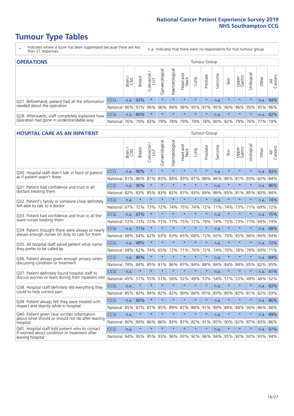# **Tumour Type Tables**

- \* Indicates where a score has been suppressed because there are less than 21 responses.
- n.a. Indicates that there were no respondents for that tumour group.

| <b>OPERATIONS</b>                                |          |       |               |            |                   |                |                         |         | Tumour Group |         |         |                 |                                                  |         |                |
|--------------------------------------------------|----------|-------|---------------|------------|-------------------|----------------|-------------------------|---------|--------------|---------|---------|-----------------|--------------------------------------------------|---------|----------------|
|                                                  |          | Brain | <b>Breast</b> | Colorectal | ত<br>Gynaecologic | Haematological | Head and<br>Neck        | Lung    | Prostate     | Sarcoma | Skin    | Upper<br>Gastro | $\sigma$<br>Jrologica                            | Other   | All<br>Cancers |
| Q27. Beforehand, patient had all the information | CCG      | n.a.  | 93%           |            | $\star$           | $\star$        | $\star$                 | $\star$ | $\star$      | n.a.    | $\star$ | $\star$         | $\star$                                          | n.a.    | 94%            |
| needed about the operation                       | National | 96%   | 97%           | 96%        | 96%               |                | 94% 96% 95% 97% 95% 96% |         |              |         |         | 96%             |                                                  | 95% 95% | 96%            |
| Q28. Afterwards, staff completely explained how  | CCG      | n.a.  | 80%           |            | $\star$           | $\star$        | $\star$                 | $\star$ | $\star$      | n.a.    | $\star$ | $\star$         | $\star$                                          | n.a.    | 82%            |
| operation had gone in understandable way         | National | 76%   |               | 79% 83%    |                   |                |                         |         |              |         |         |                 | 79%  78%  79%  79%  78%  80%  82%  79%  76%  77% |         | 79%            |

#### **HOSPITAL CARE AS AN INPATIENT** Tumour Group

|                                                                                                   |            | Brain | <b>Breast</b> | Colorectal /<br>LGT | Gynaecological | Haematological | Head and<br><b>Neck</b> | Lung    | Prostate | Sarcoma | Skin        | Upper<br>Gastro | Urological | Other   | Cancers<br>$\overline{\overline{z}}$ |
|---------------------------------------------------------------------------------------------------|------------|-------|---------------|---------------------|----------------|----------------|-------------------------|---------|----------|---------|-------------|-----------------|------------|---------|--------------------------------------|
| Q30. Hospital staff didn't talk in front of patient                                               | CCG        | n.a.  | 90%           | $\star$             | $\star$        | $\star$        | $\star$                 | $\star$ | $\star$  | n.a.    | $\star$     | $\star$         | $\star$    | n.a.    | 83%                                  |
| as if patient wasn't there                                                                        | National   | 81%   | 86%           | 81%                 | 83%            | 84%            |                         | 83% 81% | 88%      | 86%     | 86%         | 81%             | 83%        | 82%     | 84%                                  |
| 031. Patient had confidence and trust in all                                                      | CCG        | n.a.  | 90%           | $\star$             | $\star$        | $\star$        | $\star$                 | $\star$ | $\star$  | n.a.    | $\star$     |                 | $\star$    | n.a.    | 86%                                  |
| doctors treating them                                                                             | National   | 82%   | 83%           | 85%                 | 83%            | 82%            | 87%                     | 83%     | 89%      | 86%     | 85%         | 81%             | 85%        | 80%     | 84%                                  |
| Q32. Patient's family or someone close definitely                                                 | CCG        | n.a.  | $\star$       | $\star$             | $\star$        | $\star$        | $\star$                 | $\star$ | $\star$  | n.a.    | $\star$     |                 | $\star$    | n.a.    | 74%                                  |
| felt able to talk to a doctor                                                                     | National   | 67%   | 72%           | 73%                 | 72%            | 74%            | 75%                     | 74%     | 72%      | 71%     | 74%         | 73%             | 71%        | 69%     | 72%                                  |
| Q33. Patient had confidence and trust in all the                                                  | CCG        | n.a.  | 67%           | $\star$             | $\star$        | $\star$        | $\star$                 | $\star$ | $\star$  | n.a.    | $\star$     | $\star$         | $\star$    | n.a.    | 75%                                  |
| ward nurses treating them                                                                         | National   | 72%   | 73%           | 72%                 | 71%            | 77%            | 75%                     | 77%     | 79%      | 74%     | 75%         |                 | 73% 77%    | 69%     | 74%                                  |
| Q34. Patient thought there were always or nearly<br>always enough nurses on duty to care for them | CCG        | n.a.  | 71%           | $\star$             | $\star$        | $\star$        | $\star$                 | $\star$ | $\star$  | n.a.    | $\star$     |                 | $\star$    | n.a.    | 68%                                  |
|                                                                                                   | National   | 68%   | 64%           | 62%                 | 63%            | 63%            | 65%                     | 68%     | 72%      | 65%     |             | 70% 65%         | 66%        | 60%     | 64%                                  |
| Q35. All hospital staff asked patient what name<br>they prefer to be called by                    | CCG        | n.a.  | 48%           | $\star$             | $\star$        | $\star$        | $\star$                 | $\star$ | $\star$  | n.a.    | $\star$     | $\star$         | $\star$    | n.a.    | 72%                                  |
|                                                                                                   | National   | 68%   | 62%           | 74%                 | 65%            | 72%            | 71%                     | 76%     | 72%      | 74%     | 70%         | 78%             | 76%        | 69%     | 71%                                  |
| Q36. Patient always given enough privacy when                                                     | CCG        | n.a.  | 86%           | $\star$             | $\star$        | $\star$        | $\star$                 | $\star$ | $\star$  | n.a.    | $\star$     |                 | $\star$    | n.a.    | 84%                                  |
| discussing condition or treatment                                                                 | National   | 78%   | 84%           | 85%                 | 81%            | 86%            | 87%                     | 84%     | 88%      | 84%     | 84%         | 84%             | 85%        | 82% 85% |                                      |
| Q37. Patient definitely found hospital staff to                                                   | <b>CCG</b> | n.a.  | $\star$       | $\star$             | $\star$        | $\star$        | $\star$                 | $\star$ | $\star$  | n.a.    | $\star$     | $\star$         | $\star$    | n.a.    | 41%                                  |
| discuss worries or fears during their inpatient visit                                             | National   | 45%   | 51%           | 55%                 | 51%            | 56%            | 52%                     | 49%     | 53%      | 54%     |             | 51% 53% 49%     |            | 46% 52% |                                      |
| Q38. Hospital staff definitely did everything they                                                | CCG        | n.a.  | $\star$       | $\star$             | $\star$        | $\star$        | $\star$                 | $\star$ | $\star$  | n.a.    | $\star$     | $\star$         | $\star$    | n.a.    | 83%                                  |
| could to help control pain                                                                        | National   | 85%   | 83%           | 84%                 | 82%            | 82%            | 80%                     | 84%     | 85%      | 83%     | 85%         | 82%             | 81%        | 82%     | 83%                                  |
| Q39. Patient always felt they were treated with                                                   | CCG        | n.a.  | 86%           | $\star$             | $\star$        | $\star$        | $\star$                 | $\star$ | $\star$  | n.a.    | $\star$     | $\star$         | $\star$    | n.a.    | 86%                                  |
| respect and dignity while in hospital                                                             | National   | 85%   | 87%           | 87%                 | 85%            | 89%            | 87%                     | 88%     | 91%      | 89%     | 89%         | 88%             | 90%        | 86%     | 88%                                  |
| Q40. Patient given clear written information<br>about what should or should not do after leaving  | CCG        | n.a.  | $\star$       | $\star$             | $\star$        | $\star$        | $\star$                 | $\star$ | $\star$  | n.a.    | $\ast$      | $\star$         | $\star$    | n.a.    | 89%                                  |
| hospital                                                                                          | National   | 80%   | 89%           | 86%                 | 86%            | 83%            |                         | 87% 82% | 91%      | 85%     | 90%         | 82%             | 87%        | 83%     | 86%                                  |
| Q41. Hospital staff told patient who to contact<br>if worried about condition or treatment after  | CCG        | n.a.  | $\star$       | $\star$             | $\star$        | $\star$        | $\star$                 | $\star$ | $\star$  | n.a.    | $\star$     | $\star$         | $\star$    | n.a.    | 97%                                  |
| leaving hospital                                                                                  | National I | 94%   |               | 95% 95% 93%         |                |                | 96% 93% 92%             |         | 96%      |         | 94% 95% 92% |                 | 92%        | 93% 94% |                                      |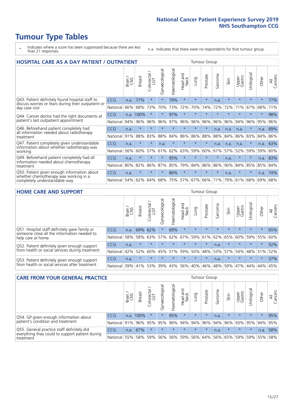# **Tumour Type Tables**

- \* Indicates where a score has been suppressed because there are less than 21 responses.
- n.a. Indicates that there were no respondents for that tumour group.

| <b>HOSPITAL CARE AS A DAY PATIENT / OUTPATIENT</b>                                                                    | <b>Tumour Group</b> |       |               |                     |                |                |                         |         |          |                      |         |                 |            |         |                |
|-----------------------------------------------------------------------------------------------------------------------|---------------------|-------|---------------|---------------------|----------------|----------------|-------------------------|---------|----------|----------------------|---------|-----------------|------------|---------|----------------|
|                                                                                                                       |                     | Brain | <b>Breast</b> | Colorectal /<br>LGT | Gynaecological | Haematological | aad and<br>Neck<br>Head | Lung    | Prostate | arcoma<br>$\sqrt{ }$ | Skin    | Upper<br>Gastro | Urological | Other   | All<br>Cancers |
| Q43. Patient definitely found hospital staff to                                                                       | CCG                 | n.a.  | 77%           | $\star$             | $\star$        | 79%            | $\star$                 | $\star$ | $\star$  | n.a.                 | $\star$ | $\star$         | $\star$    | $\star$ | 77%            |
| discuss worries or fears during their outpatient or<br>day case visit                                                 | National            | 66%   | 68%           | 73%                 | 70%            | 73%            | 72%                     | 70%     | 74%      | 72%                  | 72%     | 71%             | 67%        | 68%     | 71%            |
| Q44. Cancer doctor had the right documents at<br>patient's last outpatient appointment                                | <b>CCG</b>          | n.a.  | 100%          | $\star$             | $\star$        | 97%            | $\star$                 | $\star$ | $\star$  | $\star$              | $\star$ | $\star$         | $\star$    | $\star$ | 98%            |
|                                                                                                                       | National            | 94%   | 96%           | 96%                 | 96%            | 97%            | 96%                     | 96%     | 96%      | 96%                  | 96%     | 94%             | 96%        | 95%     | 96%            |
| Q46. Beforehand patient completely had<br>all information needed about radiotherapy                                   | CCG                 | n.a.  | $\star$       | $\star$             |                |                | $\star$                 | $\star$ | $\star$  | n.a.                 | n.a.    | n.a.            | $\star$    | n.a.    | 89%            |
| treatment                                                                                                             | National            | 91%   | 88%           | 83%                 | 88%            | 84%            | 86%                     | 86%     | 88%      | 88%                  | 84%     | 86%             | 83%        | 84%     | 86%            |
| Q47. Patient completely given understandable<br>information about whether radiotherapy was                            | CCG                 | n.a.  | $\star$       | $\star$             | n.a.           | $\star$        | $\star$                 | $\star$ | $\star$  | n.a.                 | n.a.    | n.a.            | $\star$    | n.a.    | 63%            |
| working                                                                                                               | National            | 56%   | 60%           | 57%                 | 61%            | 62%            | 63%                     | 59%     | 60%      | 67%                  | 57%     | 52%             | 59%        | 59%     | 60%            |
| Q49. Beforehand patient completely had all                                                                            | CCG                 | n.a.  | $\star$       | $\star$             | $\star$        | 95%            | $\star$                 | $\star$ | $\star$  | $\star$              | n.a.    | $\star$         | $\star$    | n.a.    | 83%            |
| information needed about chemotherapy<br>treatment                                                                    | National            | 80%   | 82%           | 86%                 | 87%            | 85%            | 79%                     | 84%     | 86%      | 86%                  | 90%     | 84%             | 85%        | 85%     | 84%            |
| Q50. Patient given enough information about<br>whether chemotherapy was working in a<br>completely understandable way | <b>CCG</b>          | n.a.  | $\star$       | $\star$             | $\star$        | 86%            | $\star$                 | $\star$ | $\star$  | $\star$              | n.a.    | $\star$         | $\star$    | n.a.    | 74%            |
|                                                                                                                       | National            | 54%   | 62%           | 64%                 | 68%            | 75%            |                         | 57% 67% | 66%      | 71%                  | 79%     | 61%             | 68%        | 69%     | 68%            |

#### **HOME CARE AND SUPPORT** Tumour Group

|                                                                                                                   |            | Brain | <b>Breast</b> | olorectal<br>LGT<br>Ü | ᢛ<br>Gynaecologic | Haematological | ad and<br>Neck<br>Head | <b>Dung</b> | Prostate | Sarcoma | Skin    | Upper<br>Gastro | rological   | Other   | All<br>Cancers |
|-------------------------------------------------------------------------------------------------------------------|------------|-------|---------------|-----------------------|-------------------|----------------|------------------------|-------------|----------|---------|---------|-----------------|-------------|---------|----------------|
| Q51. Hospital staff definitely gave family or<br>someone close all the information needed to<br>help care at home | <b>CCG</b> | n.a.  | 69% 62%       |                       |                   | 69%            | $\star$                | $\star$     | $\star$  | $\star$ | $\star$ | $\star$         | $\star$     | $\star$ | 65%            |
|                                                                                                                   | National   | 58%   | 58%           | 63%                   |                   | $57\%$ 62% 67% |                        |             | 59% 61%  |         | 62% 65% | 60%             | 59% 55%     |         | 60%            |
| Q52. Patient definitely given enough support<br>from health or social services during treatment                   | <b>CCG</b> | n.a.  | $\star$       | $\star$               | $\star$           | $\star$        | $\star$                | $\star$     | $\star$  | n.a.    | $\star$ | $\star$         | $\star$     | $\star$ | 52%            |
|                                                                                                                   | National   | 42%   | 52%           | 60%                   |                   | 45% 51%        | 59%                    | 50%         | 48%      |         | 53% 57% |                 | 54% 48% 51% |         | 52%            |
| Q53. Patient definitely given enough support<br>from health or social services after treatment                    | CCG        | n.a.  | $\star$       |                       | $\star$           |                | $\star$                | $\star$     | $\star$  | n.a.    | $\star$ | $\star$         | $\star$     | $\star$ | 37%            |
|                                                                                                                   | National l | 39%   | 41% 53%       |                       | 39%               | $ 43\% $       | 56%                    | 40%         | 46%      | 48%     | 59%     | 47%             | 44%         | 44%     | 45%            |

| <b>CARE FROM YOUR GENERAL PRACTICE</b>                                                                     |              | Tumour Group |               |                   |                |                |                  |         |          |         |         |                             |                 |         |                |
|------------------------------------------------------------------------------------------------------------|--------------|--------------|---------------|-------------------|----------------|----------------|------------------|---------|----------|---------|---------|-----------------------------|-----------------|---------|----------------|
|                                                                                                            |              | Brain        | <b>Breast</b> | Colorectal<br>LGT | Gynaecological | Haematological | Head and<br>Neck | Lung    | Prostate | Sarcoma | Skin    | Upper<br>Gastro             | Urologica       | Other   | All<br>Cancers |
| Q54. GP given enough information about<br>patient's condition and treatment                                | <b>CCG</b>   | n.a.         | 100%          | $\star$           | $\star$        | 95%            | $\star$          | $\star$ | $\star$  | n.a.    | $\star$ | $\star$                     | $\star$         | $\star$ | 95%            |
|                                                                                                            | National 91% |              |               | 96% 95%           | 95%            |                | 96% 94% 94% 96%  |         |          |         | 94% 96% |                             | 93% 95% 94% 95% |         |                |
| Q55. General practice staff definitely did<br>everything they could to support patient during<br>treatment | <b>CCG</b>   | n.a.         | 67%           | $\star$           | $\star$        | $\star$        | $\star$          | $\star$ | $\star$  | n.a.    | $\star$ | $\star$                     | $\star$         | n.a.    | 58%            |
|                                                                                                            | National 55% |              | 58%           | 59%               | 56%            |                | 56% 59%          |         |          |         |         | 56% 64% 56% 65% 59% 59% 55% |                 |         | 58%            |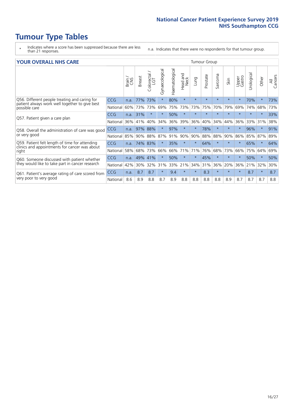# **Tumour Type Tables**

- \* Indicates where a score has been suppressed because there are less than 21 responses.
- n.a. Indicates that there were no respondents for that tumour group.

#### **YOUR OVERALL NHS CARE** THE CONSTRUCTION OF THE THROUP GROUP TUMOUR GROUP

| I YUN YENAEL NI IYOANE |       |               |                                 |                |                |                         |          |          |         |              |                 |               |         |                |
|------------------------|-------|---------------|---------------------------------|----------------|----------------|-------------------------|----------|----------|---------|--------------|-----------------|---------------|---------|----------------|
|                        | Brain | <b>Breast</b> | ∽<br>olorectal<br>LGT<br>$\cup$ | Gynaecological | Haematological | aad and<br>Neck<br>Head | Lung     | Prostate | Sarcoma | Skin         | Upper<br>Gastro | ී<br>Urologic | Other   | All<br>Cancers |
| <b>CCG</b>             | n.a.  | 77%           | 73%                             |                | 80%            | $\star$                 | $\star$  | $\star$  | $\star$ | $\star$      | $\star$         | 70%           | $\ast$  | 73%            |
| National               | 60%   | 73%           | 73%                             | 69%            | 75%            | 73%                     | 73%      | 75%      | 70%     | 79%          | 69%             | 74%           | 68%     | 73%            |
| <b>CCG</b>             | n.a.  | 31%           | $\star$                         |                | 50%            | $\star$                 | $\star$  | $\star$  | $\star$ | $\star$      | $\star$         | $\star$       | $\star$ | 33%            |
| National               |       | 41%           | 40%                             | 34%            | 36%            | 39%                     | 36%      | 40%      | 34%     | 44%          | 36%             | 33%           | 31%     | 38%            |
| <b>CCG</b>             | n.a.  | 97%           | 88%                             |                | 97%            | $\ast$                  | $\star$  | 78%      | $\star$ | $\star$      |                 | 96%           | $\star$ | 91%            |
| National               |       | 90%           | 88%                             | 87%            | 91%            | 90%                     | 90%      | 88%      | 88%     | 90%          | 86%             |               |         | 89%            |
| <b>CCG</b>             | n.a.  |               |                                 |                | 35%            | $\star$                 | $\star$  | 64%      | $\star$ | $\star$      | $\star$         | 65%           | $\ast$  | 64%            |
| National               | 58%   | 68%           | 73%                             | 66%            | 66%            | 71%                     | 71%      | 76%      | 68%     | 73%          | 66%             | 75%           | 64%     | 69%            |
| <b>CCG</b>             | n.a.  | 49%           | 41%                             |                | 50%            | $\star$                 | $^\star$ | 45%      | $\star$ | $\star$      | $\star$         | 50%           | $\ast$  | 50%            |
| National               | 42%   | 30%           | 32%                             | 31%            | 33%            |                         | 34%      | 31%      | 36%     | 20%          | 36%             | 21%           | 32%     | 30%            |
| <b>CCG</b>             | n.a.  | 8.7           | 8.7                             | $\star$        | 9.4            | $\star$                 | $\star$  | 8.3      | $\star$ | $\star$      | $\star$         | 8.7           | $\star$ | 8.7            |
| National               | 8.6   | 8.9           | 8.8                             | 8.7            | 8.9            | 8.8                     | 8.8      | 8.8      | 8.8     | 8.9          | 8.7             | 8.7           | 8.7     | 8.8            |
|                        |       | 36%<br>85%    |                                 | 83%<br>74%     |                |                         | 21%      |          |         | iamoar oroap |                 |               | 85%     | 87%            |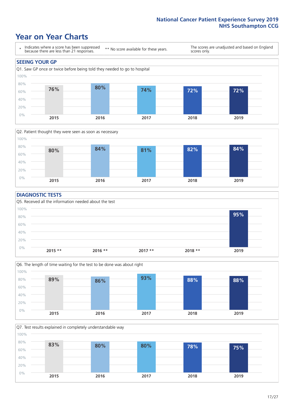### **Year on Year Charts**





#### **DIAGNOSTIC TESTS**





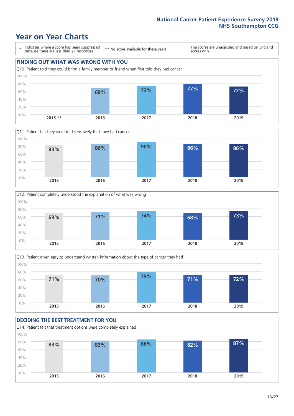### **Year on Year Charts**

\* Indicates where a score has been suppressed because there are less than 21 responses.

\*\* No score available for these years.

The scores are unadjusted and based on England scores only.









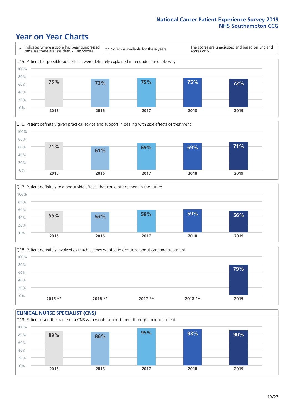### **Year on Year Charts**







Q18. Patient definitely involved as much as they wanted in decisions about care and treatment  $0%$ 20% 40% 60% 80% 100% **2015 \*\* 2016 \*\* 2017 \*\* 2018 \*\* 2019 79%**

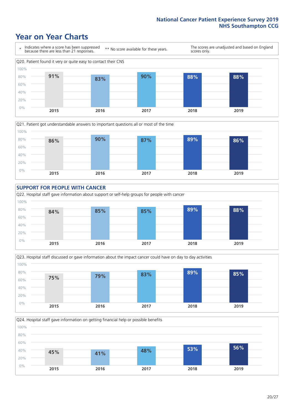### **Year on Year Charts**









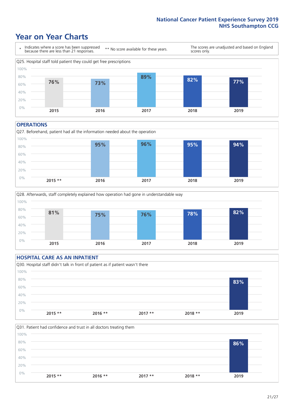### **Year on Year Charts**



#### **OPERATIONS**





#### **HOSPITAL CARE AS AN INPATIENT** Q30. Hospital staff didn't talk in front of patient as if patient wasn't there 0% 20% 40% 60% 80% 100% **2015 \*\* 2016 \*\* 2017 \*\* 2018 \*\* 2019 83%**

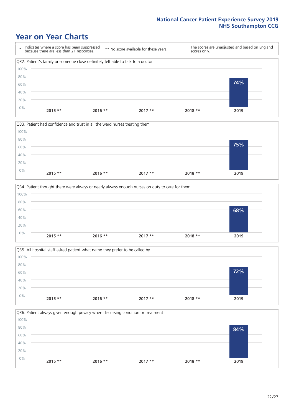### **Year on Year Charts**









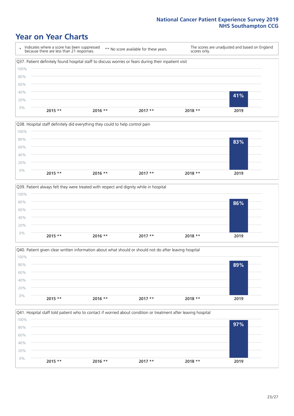### **Year on Year Charts**

\* Indicates where a score has been suppressed because there are less than 21 responses. \*\* No score available for these years. The scores are unadjusted and based on England scores only. Q37. Patient definitely found hospital staff to discuss worries or fears during their inpatient visit 0% 20% 40% 60% 80% 100% **2015 \*\* 2016 \*\* 2017 \*\* 2018 \*\* 2019 41%**







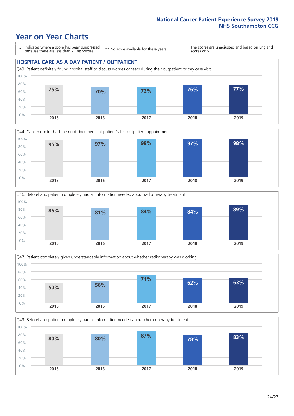### **Year on Year Charts**

\* Indicates where a score has been suppressed because there are less than 21 responses.

\*\* No score available for these years.

The scores are unadjusted and based on England scores only.

#### **HOSPITAL CARE AS A DAY PATIENT / OUTPATIENT**









Q49. Beforehand patient completely had all information needed about chemotherapy treatment 100%

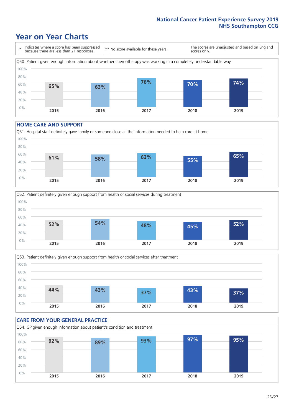### **Year on Year Charts**

\* Indicates where a score has been suppressed because there are less than 21 responses. \*\* No score available for these years. The scores are unadjusted and based on England scores only. Q50. Patient given enough information about whether chemotherapy was working in a completely understandable way 0% 20% 40% 60% 80% 100% **2015 2016 2017 2018 2019 65% 63% 76% 70% 74%**

#### **HOME CARE AND SUPPORT**







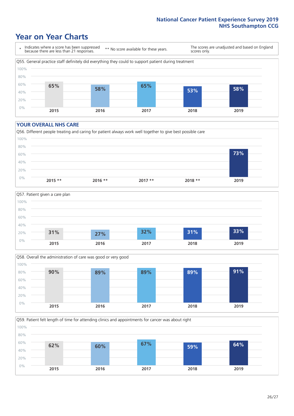### **Year on Year Charts**

\* Indicates where a score has been suppressed because there are less than 21 responses.

\*\* No score available for these years.

The scores are unadjusted and based on England scores only.



#### **YOUR OVERALL NHS CARE**







Q59. Patient felt length of time for attending clinics and appointments for cancer was about right